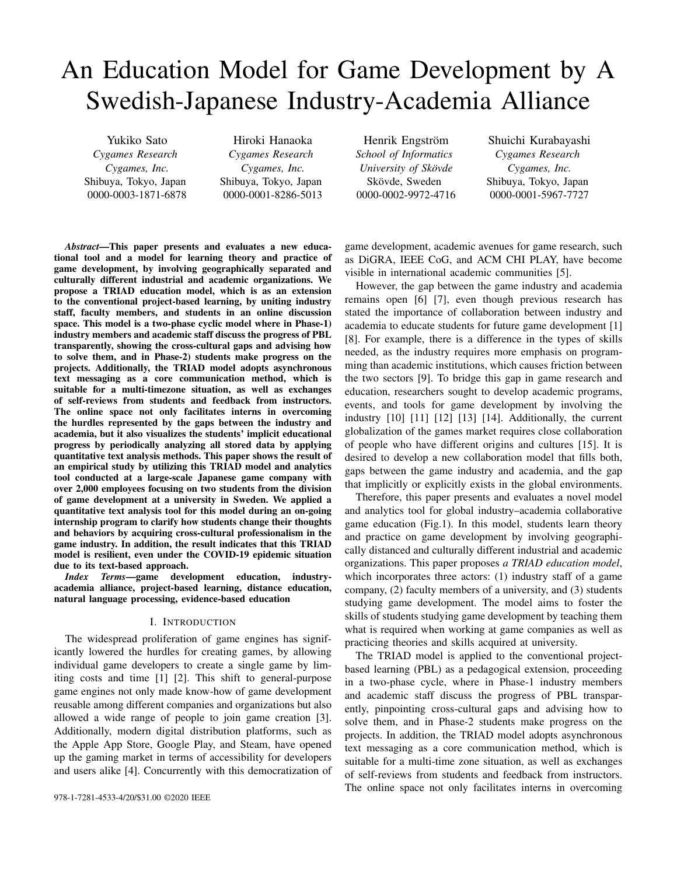# An Education Model for Game Development by A Swedish-Japanese Industry-Academia Alliance

Yukiko Sato *Cygames Research Cygames, Inc.* Shibuya, Tokyo, Japan 0000-0003-1871-6878

Hiroki Hanaoka *Cygames Research Cygames, Inc.* Shibuya, Tokyo, Japan 0000-0001-8286-5013

Henrik Engström *School of Informatics University of Skovde ¨* Skövde, Sweden 0000-0002-9972-4716

Shuichi Kurabayashi *Cygames Research Cygames, Inc.* Shibuya, Tokyo, Japan 0000-0001-5967-7727

*Abstract*—This paper presents and evaluates a new educational tool and a model for learning theory and practice of game development, by involving geographically separated and culturally different industrial and academic organizations. We propose a TRIAD education model, which is as an extension to the conventional project-based learning, by uniting industry staff, faculty members, and students in an online discussion space. This model is a two-phase cyclic model where in Phase-1) industry members and academic staff discuss the progress of PBL transparently, showing the cross-cultural gaps and advising how to solve them, and in Phase-2) students make progress on the projects. Additionally, the TRIAD model adopts asynchronous text messaging as a core communication method, which is suitable for a multi-timezone situation, as well as exchanges of self-reviews from students and feedback from instructors. The online space not only facilitates interns in overcoming the hurdles represented by the gaps between the industry and academia, but it also visualizes the students' implicit educational progress by periodically analyzing all stored data by applying quantitative text analysis methods. This paper shows the result of an empirical study by utilizing this TRIAD model and analytics tool conducted at a large-scale Japanese game company with over 2,000 employees focusing on two students from the division of game development at a university in Sweden. We applied a quantitative text analysis tool for this model during an on-going internship program to clarify how students change their thoughts and behaviors by acquiring cross-cultural professionalism in the game industry. In addition, the result indicates that this TRIAD model is resilient, even under the COVID-19 epidemic situation due to its text-based approach.

*Index Terms*—game development education, industryacademia alliance, project-based learning, distance education, natural language processing, evidence-based education

## I. INTRODUCTION

The widespread proliferation of game engines has significantly lowered the hurdles for creating games, by allowing individual game developers to create a single game by limiting costs and time [1] [2]. This shift to general-purpose game engines not only made know-how of game development reusable among different companies and organizations but also allowed a wide range of people to join game creation [3]. Additionally, modern digital distribution platforms, such as the Apple App Store, Google Play, and Steam, have opened up the gaming market in terms of accessibility for developers and users alike [4]. Concurrently with this democratization of

game development, academic avenues for game research, such as DiGRA, IEEE CoG, and ACM CHI PLAY, have become visible in international academic communities [5].

However, the gap between the game industry and academia remains open [6] [7], even though previous research has stated the importance of collaboration between industry and academia to educate students for future game development [1] [8]. For example, there is a difference in the types of skills needed, as the industry requires more emphasis on programming than academic institutions, which causes friction between the two sectors [9]. To bridge this gap in game research and education, researchers sought to develop academic programs, events, and tools for game development by involving the industry [10] [11] [12] [13] [14]. Additionally, the current globalization of the games market requires close collaboration of people who have different origins and cultures [15]. It is desired to develop a new collaboration model that fills both, gaps between the game industry and academia, and the gap that implicitly or explicitly exists in the global environments.

Therefore, this paper presents and evaluates a novel model and analytics tool for global industry–academia collaborative game education (Fig.1). In this model, students learn theory and practice on game development by involving geographically distanced and culturally different industrial and academic organizations. This paper proposes *a TRIAD education model*, which incorporates three actors: (1) industry staff of a game company, (2) faculty members of a university, and (3) students studying game development. The model aims to foster the skills of students studying game development by teaching them what is required when working at game companies as well as practicing theories and skills acquired at university.

The TRIAD model is applied to the conventional projectbased learning (PBL) as a pedagogical extension, proceeding in a two-phase cycle, where in Phase-1 industry members and academic staff discuss the progress of PBL transparently, pinpointing cross-cultural gaps and advising how to solve them, and in Phase-2 students make progress on the projects. In addition, the TRIAD model adopts asynchronous text messaging as a core communication method, which is suitable for a multi-time zone situation, as well as exchanges of self-reviews from students and feedback from instructors. The online space not only facilitates interns in overcoming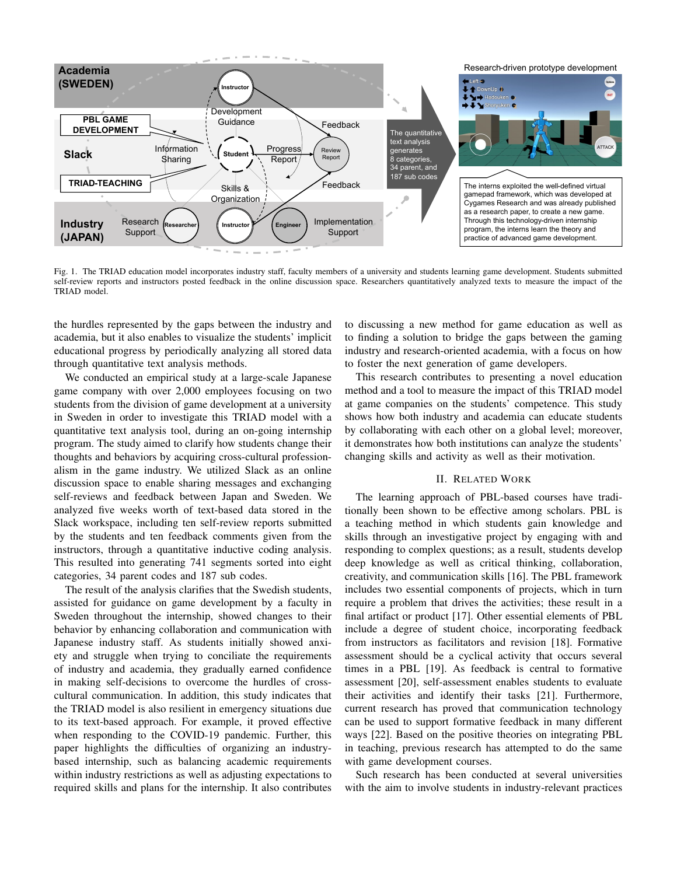

Fig. 1. The TRIAD education model incorporates industry staff, faculty members of a university and students learning game development. Students submitted self-review reports and instructors posted feedback in the online discussion space. Researchers quantitatively analyzed texts to measure the impact of the TRIAD model.

the hurdles represented by the gaps between the industry and academia, but it also enables to visualize the students' implicit educational progress by periodically analyzing all stored data through quantitative text analysis methods.

We conducted an empirical study at a large-scale Japanese game company with over 2,000 employees focusing on two students from the division of game development at a university in Sweden in order to investigate this TRIAD model with a quantitative text analysis tool, during an on-going internship program. The study aimed to clarify how students change their thoughts and behaviors by acquiring cross-cultural professionalism in the game industry. We utilized Slack as an online discussion space to enable sharing messages and exchanging self-reviews and feedback between Japan and Sweden. We analyzed five weeks worth of text-based data stored in the Slack workspace, including ten self-review reports submitted by the students and ten feedback comments given from the instructors, through a quantitative inductive coding analysis. This resulted into generating 741 segments sorted into eight categories, 34 parent codes and 187 sub codes.

The result of the analysis clarifies that the Swedish students, assisted for guidance on game development by a faculty in Sweden throughout the internship, showed changes to their behavior by enhancing collaboration and communication with Japanese industry staff. As students initially showed anxiety and struggle when trying to conciliate the requirements of industry and academia, they gradually earned confidence in making self-decisions to overcome the hurdles of crosscultural communication. In addition, this study indicates that the TRIAD model is also resilient in emergency situations due to its text-based approach. For example, it proved effective when responding to the COVID-19 pandemic. Further, this paper highlights the difficulties of organizing an industrybased internship, such as balancing academic requirements within industry restrictions as well as adjusting expectations to required skills and plans for the internship. It also contributes

to discussing a new method for game education as well as to finding a solution to bridge the gaps between the gaming industry and research-oriented academia, with a focus on how to foster the next generation of game developers.

This research contributes to presenting a novel education method and a tool to measure the impact of this TRIAD model at game companies on the students' competence. This study shows how both industry and academia can educate students by collaborating with each other on a global level; moreover, it demonstrates how both institutions can analyze the students' changing skills and activity as well as their motivation.

## II. RELATED WORK

The learning approach of PBL-based courses have traditionally been shown to be effective among scholars. PBL is a teaching method in which students gain knowledge and skills through an investigative project by engaging with and responding to complex questions; as a result, students develop deep knowledge as well as critical thinking, collaboration, creativity, and communication skills [16]. The PBL framework includes two essential components of projects, which in turn require a problem that drives the activities; these result in a final artifact or product [17]. Other essential elements of PBL include a degree of student choice, incorporating feedback from instructors as facilitators and revision [18]. Formative assessment should be a cyclical activity that occurs several times in a PBL [19]. As feedback is central to formative assessment [20], self-assessment enables students to evaluate their activities and identify their tasks [21]. Furthermore, current research has proved that communication technology can be used to support formative feedback in many different ways [22]. Based on the positive theories on integrating PBL in teaching, previous research has attempted to do the same with game development courses.

Such research has been conducted at several universities with the aim to involve students in industry-relevant practices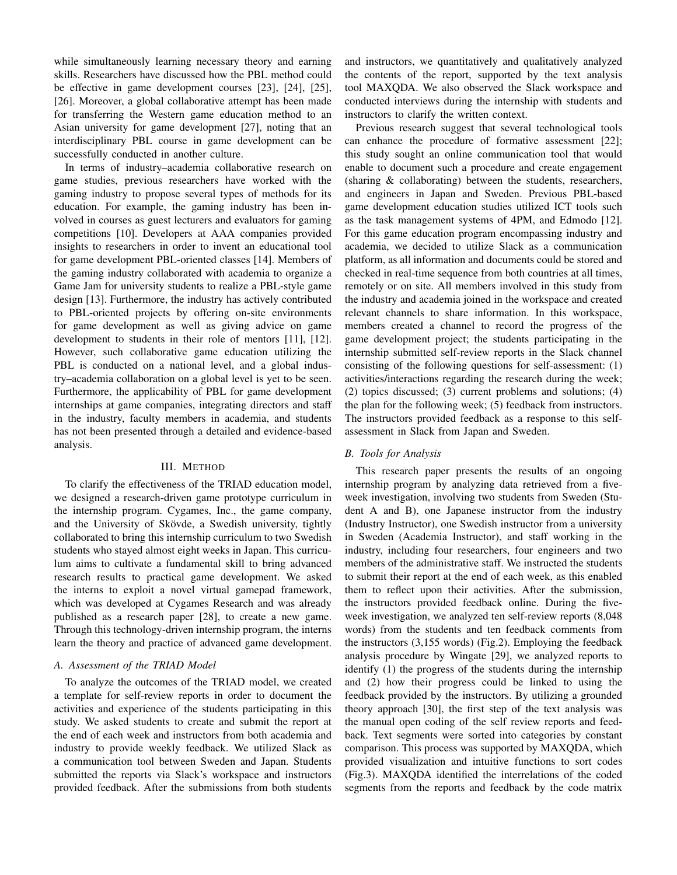while simultaneously learning necessary theory and earning skills. Researchers have discussed how the PBL method could be effective in game development courses [23], [24], [25], [26]. Moreover, a global collaborative attempt has been made for transferring the Western game education method to an Asian university for game development [27], noting that an interdisciplinary PBL course in game development can be successfully conducted in another culture.

In terms of industry–academia collaborative research on game studies, previous researchers have worked with the gaming industry to propose several types of methods for its education. For example, the gaming industry has been involved in courses as guest lecturers and evaluators for gaming competitions [10]. Developers at AAA companies provided insights to researchers in order to invent an educational tool for game development PBL-oriented classes [14]. Members of the gaming industry collaborated with academia to organize a Game Jam for university students to realize a PBL-style game design [13]. Furthermore, the industry has actively contributed to PBL-oriented projects by offering on-site environments for game development as well as giving advice on game development to students in their role of mentors [11], [12]. However, such collaborative game education utilizing the PBL is conducted on a national level, and a global industry–academia collaboration on a global level is yet to be seen. Furthermore, the applicability of PBL for game development internships at game companies, integrating directors and staff in the industry, faculty members in academia, and students has not been presented through a detailed and evidence-based analysis.

#### III. METHOD

To clarify the effectiveness of the TRIAD education model, we designed a research-driven game prototype curriculum in the internship program. Cygames, Inc., the game company, and the University of Skövde, a Swedish university, tightly collaborated to bring this internship curriculum to two Swedish students who stayed almost eight weeks in Japan. This curriculum aims to cultivate a fundamental skill to bring advanced research results to practical game development. We asked the interns to exploit a novel virtual gamepad framework, which was developed at Cygames Research and was already published as a research paper [28], to create a new game. Through this technology-driven internship program, the interns learn the theory and practice of advanced game development.

## *A. Assessment of the TRIAD Model*

To analyze the outcomes of the TRIAD model, we created a template for self-review reports in order to document the activities and experience of the students participating in this study. We asked students to create and submit the report at the end of each week and instructors from both academia and industry to provide weekly feedback. We utilized Slack as a communication tool between Sweden and Japan. Students submitted the reports via Slack's workspace and instructors provided feedback. After the submissions from both students and instructors, we quantitatively and qualitatively analyzed the contents of the report, supported by the text analysis tool MAXQDA. We also observed the Slack workspace and conducted interviews during the internship with students and instructors to clarify the written context.

Previous research suggest that several technological tools can enhance the procedure of formative assessment [22]; this study sought an online communication tool that would enable to document such a procedure and create engagement (sharing & collaborating) between the students, researchers, and engineers in Japan and Sweden. Previous PBL-based game development education studies utilized ICT tools such as the task management systems of 4PM, and Edmodo [12]. For this game education program encompassing industry and academia, we decided to utilize Slack as a communication platform, as all information and documents could be stored and checked in real-time sequence from both countries at all times, remotely or on site. All members involved in this study from the industry and academia joined in the workspace and created relevant channels to share information. In this workspace, members created a channel to record the progress of the game development project; the students participating in the internship submitted self-review reports in the Slack channel consisting of the following questions for self-assessment: (1) activities/interactions regarding the research during the week; (2) topics discussed; (3) current problems and solutions; (4) the plan for the following week; (5) feedback from instructors. The instructors provided feedback as a response to this selfassessment in Slack from Japan and Sweden.

#### *B. Tools for Analysis*

This research paper presents the results of an ongoing internship program by analyzing data retrieved from a fiveweek investigation, involving two students from Sweden (Student A and B), one Japanese instructor from the industry (Industry Instructor), one Swedish instructor from a university in Sweden (Academia Instructor), and staff working in the industry, including four researchers, four engineers and two members of the administrative staff. We instructed the students to submit their report at the end of each week, as this enabled them to reflect upon their activities. After the submission, the instructors provided feedback online. During the fiveweek investigation, we analyzed ten self-review reports (8,048 words) from the students and ten feedback comments from the instructors (3,155 words) (Fig.2). Employing the feedback analysis procedure by Wingate [29], we analyzed reports to identify (1) the progress of the students during the internship and (2) how their progress could be linked to using the feedback provided by the instructors. By utilizing a grounded theory approach [30], the first step of the text analysis was the manual open coding of the self review reports and feedback. Text segments were sorted into categories by constant comparison. This process was supported by MAXQDA, which provided visualization and intuitive functions to sort codes (Fig.3). MAXQDA identified the interrelations of the coded segments from the reports and feedback by the code matrix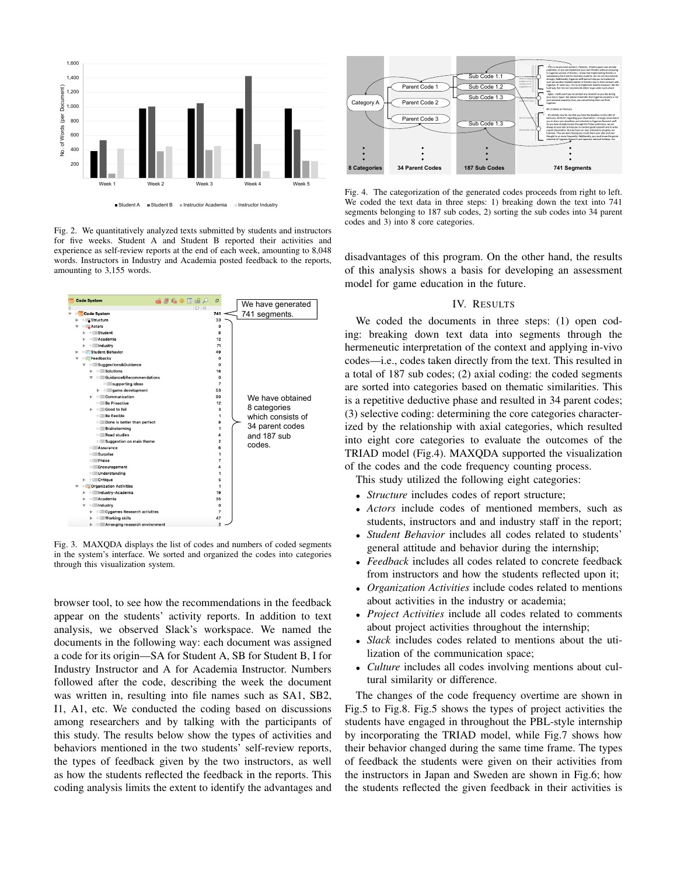

Fig. 2. We quantitatively analyzed texts submitted by students and instructors for five weeks. Student A and Student B reported their activities and experience as self-review reports at the end of each week, amounting to 8,048 words. Instructors in Industry and Academia posted feedback to the reports, amounting to 3,155 words.



Fig. 3. MAXQDA displays the list of codes and numbers of coded segments in the system's interface. We sorted and organized the codes into categories through this visualization system.

browser tool, to see how the recommendations in the feedback appear on the students' activity reports. In addition to text analysis, we observed Slack's workspace. We named the documents in the following way: each document was assigned a code for its origin—SA for Student A, SB for Student B, I for Industry Instructor and A for Academia Instructor. Numbers followed after the code, describing the week the document was written in, resulting into file names such as SA1, SB2, I1, A1, etc. We conducted the coding based on discussions among researchers and by talking with the participants of this study. The results below show the types of activities and behaviors mentioned in the two students' self-review reports, the types of feedback given by the two instructors, as well as how the students reflected the feedback in the reports. This coding analysis limits the extent to identify the advantages and



Fig. 4. The categorization of the generated codes proceeds from right to left. We coded the text data in three steps: 1) breaking down the text into 741 segments belonging to 187 sub codes, 2) sorting the sub codes into 34 parent codes and 3) into 8 core categories.

disadvantages of this program. On the other hand, the results of this analysis shows a basis for developing an assessment model for game education in the future.

#### IV. RESULTS

We coded the documents in three steps: (1) open coding: breaking down text data into segments through the hermeneutic interpretation of the context and applying in-vivo codes—i.e., codes taken directly from the text. This resulted in a total of 187 sub codes; (2) axial coding: the coded segments are sorted into categories based on thematic similarities. This is a repetitive deductive phase and resulted in 34 parent codes; (3) selective coding: determining the core categories characterized by the relationship with axial categories, which resulted into eight core categories to evaluate the outcomes of the TRIAD model (Fig.4). MAXQDA supported the visualization of the codes and the code frequency counting process.

This study utilized the following eight categories:

- *Structure* includes codes of report structure;
- *Actors* include codes of mentioned members, such as students, instructors and and industry staff in the report;
- *Student Behavior* includes all codes related to students' general attitude and behavior during the internship;
- *Feedback* includes all codes related to concrete feedback from instructors and how the students reflected upon it;
- *Organization Activities* include codes related to mentions about activities in the industry or academia;
- *Project Activities* include all codes related to comments about project activities throughout the internship;
- *Slack* includes codes related to mentions about the utilization of the communication space;
- *Culture* includes all codes involving mentions about cultural similarity or difference.

The changes of the code frequency overtime are shown in Fig.5 to Fig.8. Fig.5 shows the types of project activities the students have engaged in throughout the PBL-style internship by incorporating the TRIAD model, while Fig.7 shows how their behavior changed during the same time frame. The types of feedback the students were given on their activities from the instructors in Japan and Sweden are shown in Fig.6; how the students reflected the given feedback in their activities is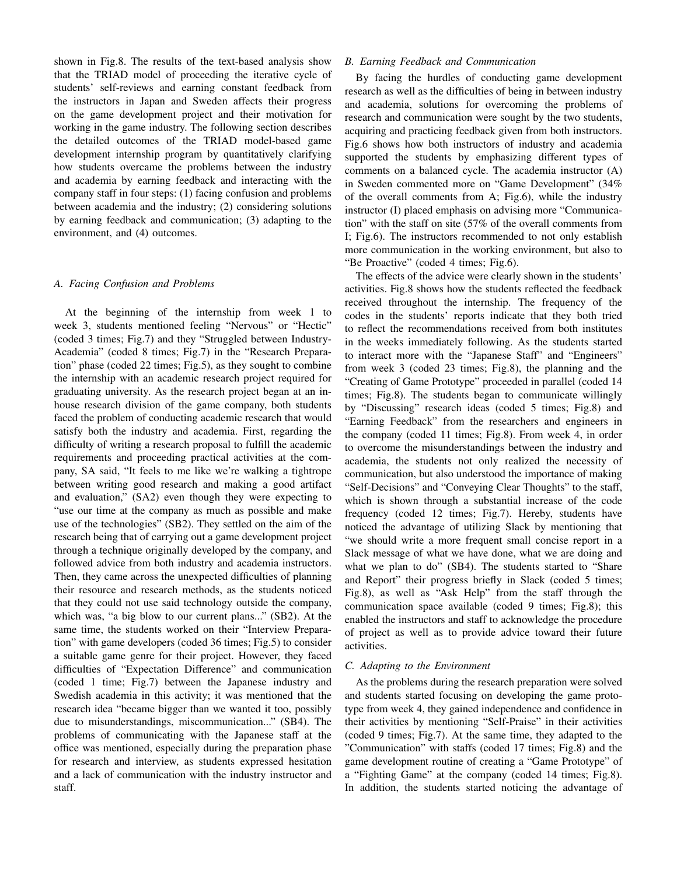shown in Fig.8. The results of the text-based analysis show that the TRIAD model of proceeding the iterative cycle of students' self-reviews and earning constant feedback from the instructors in Japan and Sweden affects their progress on the game development project and their motivation for working in the game industry. The following section describes the detailed outcomes of the TRIAD model-based game development internship program by quantitatively clarifying how students overcame the problems between the industry and academia by earning feedback and interacting with the company staff in four steps: (1) facing confusion and problems between academia and the industry; (2) considering solutions by earning feedback and communication; (3) adapting to the environment, and (4) outcomes.

## *A. Facing Confusion and Problems*

At the beginning of the internship from week 1 to week 3, students mentioned feeling "Nervous" or "Hectic" (coded 3 times; Fig.7) and they "Struggled between Industry-Academia" (coded 8 times; Fig.7) in the "Research Preparation" phase (coded 22 times; Fig.5), as they sought to combine the internship with an academic research project required for graduating university. As the research project began at an inhouse research division of the game company, both students faced the problem of conducting academic research that would satisfy both the industry and academia. First, regarding the difficulty of writing a research proposal to fulfill the academic requirements and proceeding practical activities at the company, SA said, "It feels to me like we're walking a tightrope between writing good research and making a good artifact and evaluation," (SA2) even though they were expecting to "use our time at the company as much as possible and make use of the technologies" (SB2). They settled on the aim of the research being that of carrying out a game development project through a technique originally developed by the company, and followed advice from both industry and academia instructors. Then, they came across the unexpected difficulties of planning their resource and research methods, as the students noticed that they could not use said technology outside the company, which was, "a big blow to our current plans..." (SB2). At the same time, the students worked on their "Interview Preparation" with game developers (coded 36 times; Fig.5) to consider a suitable game genre for their project. However, they faced difficulties of "Expectation Difference" and communication (coded 1 time; Fig.7) between the Japanese industry and Swedish academia in this activity; it was mentioned that the research idea "became bigger than we wanted it too, possibly due to misunderstandings, miscommunication..." (SB4). The problems of communicating with the Japanese staff at the office was mentioned, especially during the preparation phase for research and interview, as students expressed hesitation and a lack of communication with the industry instructor and staff.

## *B. Earning Feedback and Communication*

By facing the hurdles of conducting game development research as well as the difficulties of being in between industry and academia, solutions for overcoming the problems of research and communication were sought by the two students, acquiring and practicing feedback given from both instructors. Fig.6 shows how both instructors of industry and academia supported the students by emphasizing different types of comments on a balanced cycle. The academia instructor (A) in Sweden commented more on "Game Development" (34% of the overall comments from A; Fig.6), while the industry instructor (I) placed emphasis on advising more "Communication" with the staff on site (57% of the overall comments from I; Fig.6). The instructors recommended to not only establish more communication in the working environment, but also to "Be Proactive" (coded 4 times; Fig.6).

The effects of the advice were clearly shown in the students' activities. Fig.8 shows how the students reflected the feedback received throughout the internship. The frequency of the codes in the students' reports indicate that they both tried to reflect the recommendations received from both institutes in the weeks immediately following. As the students started to interact more with the "Japanese Staff" and "Engineers" from week 3 (coded 23 times; Fig.8), the planning and the "Creating of Game Prototype" proceeded in parallel (coded 14 times; Fig.8). The students began to communicate willingly by "Discussing" research ideas (coded 5 times; Fig.8) and "Earning Feedback" from the researchers and engineers in the company (coded 11 times; Fig.8). From week 4, in order to overcome the misunderstandings between the industry and academia, the students not only realized the necessity of communication, but also understood the importance of making "Self-Decisions" and "Conveying Clear Thoughts" to the staff, which is shown through a substantial increase of the code frequency (coded 12 times; Fig.7). Hereby, students have noticed the advantage of utilizing Slack by mentioning that "we should write a more frequent small concise report in a Slack message of what we have done, what we are doing and what we plan to do" (SB4). The students started to "Share and Report" their progress briefly in Slack (coded 5 times; Fig.8), as well as "Ask Help" from the staff through the communication space available (coded 9 times; Fig.8); this enabled the instructors and staff to acknowledge the procedure of project as well as to provide advice toward their future activities.

#### *C. Adapting to the Environment*

As the problems during the research preparation were solved and students started focusing on developing the game prototype from week 4, they gained independence and confidence in their activities by mentioning "Self-Praise" in their activities (coded 9 times; Fig.7). At the same time, they adapted to the "Communication" with staffs (coded 17 times; Fig.8) and the game development routine of creating a "Game Prototype" of a "Fighting Game" at the company (coded 14 times; Fig.8). In addition, the students started noticing the advantage of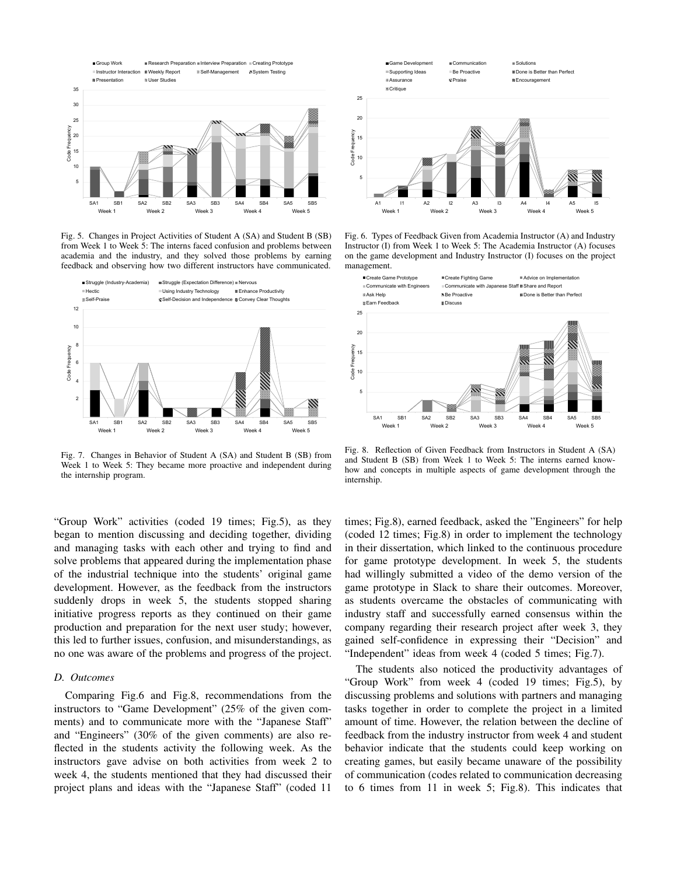

Fig. 5. Changes in Project Activities of Student A (SA) and Student B (SB) from Week 1 to Week 5: The interns faced confusion and problems between academia and the industry, and they solved those problems by earning feedback and observing how two different instructors have communicated.



Fig. 7. Changes in Behavior of Student A (SA) and Student B (SB) from Week 1 to Week 5: They became more proactive and independent during the internship program.

"Group Work" activities (coded 19 times; Fig.5), as they began to mention discussing and deciding together, dividing and managing tasks with each other and trying to find and solve problems that appeared during the implementation phase of the industrial technique into the students' original game development. However, as the feedback from the instructors suddenly drops in week 5, the students stopped sharing initiative progress reports as they continued on their game production and preparation for the next user study; however, this led to further issues, confusion, and misunderstandings, as no one was aware of the problems and progress of the project.

#### *D. Outcomes*

Comparing Fig.6 and Fig.8, recommendations from the instructors to "Game Development" (25% of the given comments) and to communicate more with the "Japanese Staff" and "Engineers" (30% of the given comments) are also reflected in the students activity the following week. As the instructors gave advise on both activities from week 2 to week 4, the students mentioned that they had discussed their project plans and ideas with the "Japanese Staff" (coded 11



Fig. 6. Types of Feedback Given from Academia Instructor (A) and Industry Instructor (I) from Week 1 to Week 5: The Academia Instructor (A) focuses on the game development and Industry Instructor (I) focuses on the project management.



Fig. 8. Reflection of Given Feedback from Instructors in Student A (SA) and Student B (SB) from Week 1 to Week 5: The interns earned knowhow and concepts in multiple aspects of game development through the internship.

times; Fig.8), earned feedback, asked the "Engineers" for help (coded 12 times; Fig.8) in order to implement the technology in their dissertation, which linked to the continuous procedure for game prototype development. In week 5, the students had willingly submitted a video of the demo version of the game prototype in Slack to share their outcomes. Moreover, as students overcame the obstacles of communicating with industry staff and successfully earned consensus within the company regarding their research project after week 3, they gained self-confidence in expressing their "Decision" and "Independent" ideas from week 4 (coded 5 times; Fig.7).

The students also noticed the productivity advantages of "Group Work" from week 4 (coded 19 times; Fig.5), by discussing problems and solutions with partners and managing tasks together in order to complete the project in a limited amount of time. However, the relation between the decline of feedback from the industry instructor from week 4 and student behavior indicate that the students could keep working on creating games, but easily became unaware of the possibility of communication (codes related to communication decreasing to 6 times from 11 in week 5; Fig.8). This indicates that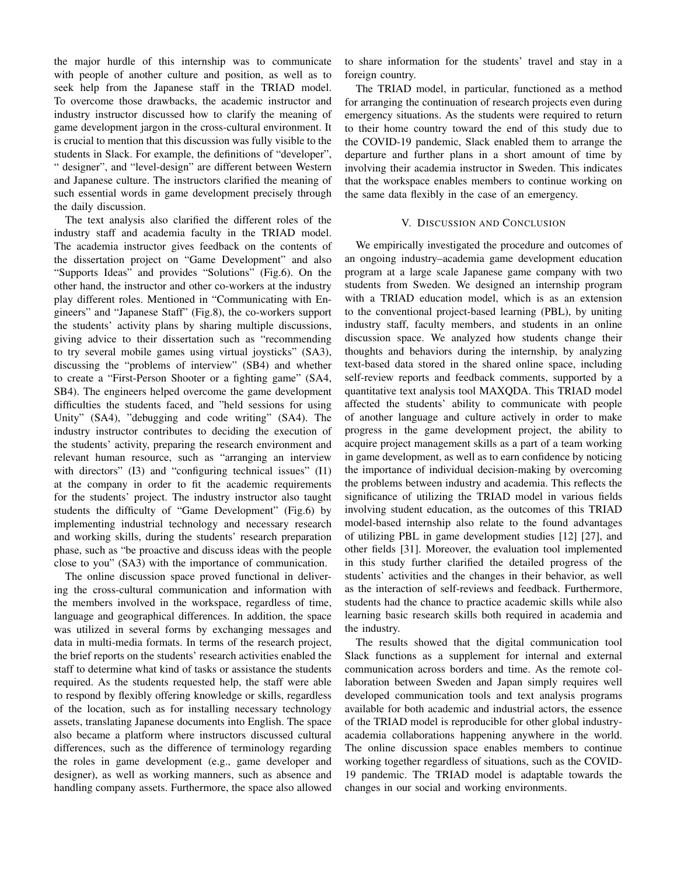the major hurdle of this internship was to communicate with people of another culture and position, as well as to seek help from the Japanese staff in the TRIAD model. To overcome those drawbacks, the academic instructor and industry instructor discussed how to clarify the meaning of game development jargon in the cross-cultural environment. It is crucial to mention that this discussion was fully visible to the students in Slack. For example, the definitions of "developer", " designer", and "level-design" are different between Western and Japanese culture. The instructors clarified the meaning of such essential words in game development precisely through the daily discussion.

The text analysis also clarified the different roles of the industry staff and academia faculty in the TRIAD model. The academia instructor gives feedback on the contents of the dissertation project on "Game Development" and also "Supports Ideas" and provides "Solutions" (Fig.6). On the other hand, the instructor and other co-workers at the industry play different roles. Mentioned in "Communicating with Engineers" and "Japanese Staff" (Fig.8), the co-workers support the students' activity plans by sharing multiple discussions, giving advice to their dissertation such as "recommending to try several mobile games using virtual joysticks" (SA3), discussing the "problems of interview" (SB4) and whether to create a "First-Person Shooter or a fighting game" (SA4, SB4). The engineers helped overcome the game development difficulties the students faced, and "held sessions for using Unity" (SA4), "debugging and code writing" (SA4). The industry instructor contributes to deciding the execution of the students' activity, preparing the research environment and relevant human resource, such as "arranging an interview with directors" (I3) and "configuring technical issues" (I1) at the company in order to fit the academic requirements for the students' project. The industry instructor also taught students the difficulty of "Game Development" (Fig.6) by implementing industrial technology and necessary research and working skills, during the students' research preparation phase, such as "be proactive and discuss ideas with the people close to you" (SA3) with the importance of communication.

The online discussion space proved functional in delivering the cross-cultural communication and information with the members involved in the workspace, regardless of time, language and geographical differences. In addition, the space was utilized in several forms by exchanging messages and data in multi-media formats. In terms of the research project, the brief reports on the students' research activities enabled the staff to determine what kind of tasks or assistance the students required. As the students requested help, the staff were able to respond by flexibly offering knowledge or skills, regardless of the location, such as for installing necessary technology assets, translating Japanese documents into English. The space also became a platform where instructors discussed cultural differences, such as the difference of terminology regarding the roles in game development (e.g., game developer and designer), as well as working manners, such as absence and handling company assets. Furthermore, the space also allowed to share information for the students' travel and stay in a foreign country.

The TRIAD model, in particular, functioned as a method for arranging the continuation of research projects even during emergency situations. As the students were required to return to their home country toward the end of this study due to the COVID-19 pandemic, Slack enabled them to arrange the departure and further plans in a short amount of time by involving their academia instructor in Sweden. This indicates that the workspace enables members to continue working on the same data flexibly in the case of an emergency.

#### V. DISCUSSION AND CONCLUSION

We empirically investigated the procedure and outcomes of an ongoing industry–academia game development education program at a large scale Japanese game company with two students from Sweden. We designed an internship program with a TRIAD education model, which is as an extension to the conventional project-based learning (PBL), by uniting industry staff, faculty members, and students in an online discussion space. We analyzed how students change their thoughts and behaviors during the internship, by analyzing text-based data stored in the shared online space, including self-review reports and feedback comments, supported by a quantitative text analysis tool MAXQDA. This TRIAD model affected the students' ability to communicate with people of another language and culture actively in order to make progress in the game development project, the ability to acquire project management skills as a part of a team working in game development, as well as to earn confidence by noticing the importance of individual decision-making by overcoming the problems between industry and academia. This reflects the significance of utilizing the TRIAD model in various fields involving student education, as the outcomes of this TRIAD model-based internship also relate to the found advantages of utilizing PBL in game development studies [12] [27], and other fields [31]. Moreover, the evaluation tool implemented in this study further clarified the detailed progress of the students' activities and the changes in their behavior, as well as the interaction of self-reviews and feedback. Furthermore, students had the chance to practice academic skills while also learning basic research skills both required in academia and the industry.

The results showed that the digital communication tool Slack functions as a supplement for internal and external communication across borders and time. As the remote collaboration between Sweden and Japan simply requires well developed communication tools and text analysis programs available for both academic and industrial actors, the essence of the TRIAD model is reproducible for other global industryacademia collaborations happening anywhere in the world. The online discussion space enables members to continue working together regardless of situations, such as the COVID-19 pandemic. The TRIAD model is adaptable towards the changes in our social and working environments.